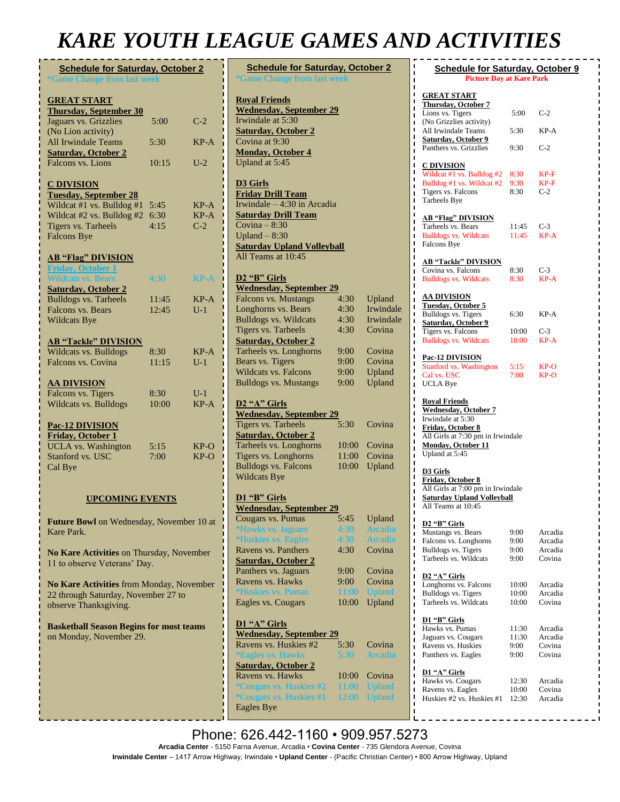# *KARE YOUTH LEAGUE GAMES AND ACTIVITIES*

| <b>Schedule for Saturday, October 2</b><br>*Game Change from last week |       |             |
|------------------------------------------------------------------------|-------|-------------|
| <b>GREAT START</b>                                                     |       |             |
| <b>Thursday, September 30</b>                                          |       |             |
| Jaguars vs. Grizzlies                                                  | 5:00  | $C-2$       |
| (No Lion activity)                                                     |       |             |
| All Irwindale Teams                                                    | 5:30  | $KP-A$      |
| <b>Saturday, October 2</b>                                             |       |             |
| Falcons vs. Lions                                                      | 10:15 | $U-2$       |
|                                                                        |       |             |
| <b>C DIVISION</b>                                                      |       |             |
| <b>Tuesday, September 28</b>                                           |       |             |
| Wildcat #1 vs. Bulldog #1                                              | 5:45  | $KP-A$      |
| Wildcat #2 vs. Bulldog #2                                              | 6:30  | KP-A        |
| Tigers vs. Tarheels                                                    | 4:15  | $C-2$       |
| <b>Falcons Bye</b>                                                     |       |             |
|                                                                        |       |             |
| <b>AB "Flag" DIVISION</b>                                              |       |             |
| <b>Friday, October 1</b>                                               |       |             |
| <b>Wildcats vs. Bears</b>                                              | 4:30  | <b>KP-A</b> |
|                                                                        |       |             |
| <b>Saturday, October 2</b>                                             | 11:45 |             |
| <b>Bulldogs vs. Tarheels</b>                                           |       | KP-A        |
| Falcons vs. Bears                                                      | 12:45 | $U-1$       |
| <b>Wildcats Bye</b>                                                    |       |             |
|                                                                        |       |             |
| <b>AB "Tackle" DIVISION</b><br>Wildcats vs. Bulldogs                   |       |             |
|                                                                        | 8:30  | KP-A        |
| Falcons vs. Covina                                                     | 11:15 | $U-1$       |
|                                                                        |       |             |
| <u>AA DIVISION</u>                                                     |       |             |
| Falcons vs. Tigers                                                     | 8:30  | $U-1$       |
| Wildcats vs. Bulldogs                                                  | 10:00 | $KP-A$      |
| Pac-12 DIVISION                                                        |       |             |
|                                                                        |       |             |
| <b>Friday, October 1</b>                                               |       |             |
| <b>UCLA</b> vs. Washington                                             | 5:15  | $KP-O$      |
| Stanford vs. USC                                                       | 7:00  | $KP-O$      |
| Cal Bye                                                                |       |             |
|                                                                        |       |             |
|                                                                        |       |             |

## **UPCOMING EVENTS**

**Future Bowl** on Wednesday, November 10 at Kare Park.

**No Kare Activities** on Thursday, November 11 to observe Veterans' Day.

**No Kare Activities** from Monday, November 22 through Saturday, November 27 to observe Thanksgiving.

**Basketball Season Begins for most teams**  on Monday, November 29.

|                                           |  | <b>Schedule for Saturday, October 2</b> |  |
|-------------------------------------------|--|-----------------------------------------|--|
| <i><b>*Game Change from last week</b></i> |  |                                         |  |

**Royal Friends Wednesday, September 29** Irwindale at 5:30 **Saturday, October 2** Covina at 9:30 **Monday, October 4** Upland at 5:45

**D3 Girls Friday Drill Team** Irwindale – 4:30 in Arcadia **Saturday Drill Team** Covina  $-8:30$ Upland  $-8:30$ **Saturday Upland Volleyball** All Teams at 10:45

### **D2 "B" Girls**

#### **Wednesday, September 29** Falcons vs. Mustangs 4:30 Upland Longhorns vs. Bears 4:30 Irwindale Bulldogs vs. Wildcats 4:30 Irwindale<br>Tigers vs. Tarheels 4:30 Covina Tigers vs. Tarheels **Saturday, October 2** Tarheels vs. Longhorns 9:00 Covina Bears vs. Tigers 9:00 Covina Wildcats vs. Falcons 9:00 Upland Bulldogs vs. Mustangs 9:00 Upland

#### **D2 "A" Girls**

| <b>Wednesday, September 29</b> |      |              |
|--------------------------------|------|--------------|
| Tigers vs. Tarheels            | 5:30 | Covina       |
| <b>Saturday, October 2</b>     |      |              |
| Tarheels vs. Longhorns         |      | 10:00 Covina |
| Tigers vs. Longhorns           |      | 11:00 Covina |
| <b>Bulldogs vs. Falcons</b>    |      | 10:00 Upland |
| <b>Wildcats Bye</b>            |      |              |
|                                |      |              |

## **D1 "B" Girls**

| <b>Wednesday, September 29</b>    |       |               |
|-----------------------------------|-------|---------------|
| Cougars vs. Pumas                 | 5:45  | Upland        |
| <i><b>*Hawks vs. Jaguars</b></i>  | 4:30  | Arcadia       |
| <i><b>*Huskies vs. Eagles</b></i> | 4:30  | Arcadia       |
| Ravens vs. Panthers               | 4:30  | Covina        |
| <b>Saturday, October 2</b>        |       |               |
| Panthers vs. Jaguars              | 9:00  | Covina        |
| Ravens vs. Hawks                  | 9:00  | Covina        |
| <i><b>*Huskies vs. Pumas</b></i>  | 11:00 | <b>Upland</b> |
| Eagles vs. Cougars                | 10:00 | Upland        |
|                                   |       |               |

| D1 "A" Girls                    |       |               |
|---------------------------------|-------|---------------|
| <b>Wednesday, September 29</b>  |       |               |
| Ravens vs. Huskies #2           | 5:30  | Covina        |
| <i><b>*Eagles vs. Hawks</b></i> | 5:30  | Arcadia       |
| <b>Saturday, October 2</b>      |       |               |
| Ravens vs. Hawks                | 10:00 | Covina        |
| <i>*Cougars vs. Huskies #2</i>  | 11:00 | <b>Upland</b> |
| <i>*Cougars vs. Huskies #1</i>  | 12:00 | <b>Upland</b> |
| <b>Eagles Bye</b>               |       |               |

| <b>Schedule for Saturday, October 9</b><br><b>Picture Day at Kare Park</b>       |                |                    |  |
|----------------------------------------------------------------------------------|----------------|--------------------|--|
| <b>GREAT START</b><br><b>Thursday, October 7</b>                                 |                |                    |  |
| Lions vs. Tigers<br>(No Grizzlies activity)<br>All Irwindale Teams               | 5:00<br>5:30   | $C-2$<br>KP-A      |  |
| <b>Saturday, October 9</b><br>Panthers vs. Grizzlies                             | 9:30           | $C-2$              |  |
| <u>C DIVISION</u>                                                                |                |                    |  |
| Wildcat #1 vs. Bulldog #2<br>Bulldog #1 vs. Wildcat #2                           | 8:30<br>9:30   | $KP-F$<br>$KP-F$   |  |
| Tigers vs. Falcons<br>Tarheels Bye                                               | 8:30           | $C-2$              |  |
| <b>AB "Flag" DIVISION</b>                                                        |                |                    |  |
| Tarheels vs. Bears<br><b>Bulldogs vs. Wildcats</b>                               | 11:45<br>11:45 | C-3<br>$KP-A$      |  |
| Falcons Bye<br><b>AB "Tackle" DIVISION</b>                                       |                |                    |  |
| Covina vs. Falcons                                                               | 8:30           | C-3                |  |
| <b>Bulldogs vs. Wildcats</b>                                                     | 8:30           | KP-A               |  |
| <u>AA DIVISION</u><br><b>Tuesday, October 5</b><br>Bulldogs vs. Tigers           | 6:30           | $KP-A$             |  |
| <b>Saturday</b> , October 9                                                      |                |                    |  |
| <b>Tigers vs. Falcons</b><br><b>Bulldogs vs. Wildcats</b>                        | 10:00<br>10:00 | C-3<br>KP-A        |  |
| <b>Pac-12 DIVISION</b>                                                           |                |                    |  |
| Stanford vs. Washington<br>Cal vs. USC                                           | 5:15<br>7:00   | KP-O<br>KP-O       |  |
| <b>UCLA Bye</b>                                                                  |                |                    |  |
| <b>Royal Friends</b><br><b>Wednesday</b> , October 7<br>Irwindale at 5:30        |                |                    |  |
| Friday, October 8                                                                |                |                    |  |
| All Girls at 7:30 pm in Irwindale<br><b>Monday, October 11</b><br>Upland at 5:45 |                |                    |  |
| D3 Girls                                                                         |                |                    |  |
| Friday, October 8<br>All Girls at 7:00 pm in Irwindale                           |                |                    |  |
| <b>Saturday Upland Volleyball</b><br>All Teams at 10:45                          |                |                    |  |
| <u>D2 "B" Girls</u><br>Mustangs vs. Bears                                        | 9:00           | Arcadia            |  |
| Falcons vs. Longhorns                                                            | 9:00           | Arcadia            |  |
| Bulldogs vs. Tigers<br>Tarheels vs. Wildcats                                     | 9:00<br>9:00   | Arcadia<br>Covina  |  |
| D <sub>2</sub> "A" Girls                                                         |                |                    |  |
| Longhorns vs. Falcons<br>Bulldogs vs. Tigers                                     | 10:00<br>10:00 | Arcadia<br>Arcadia |  |
| Tarheels vs. Wildcats                                                            | 10:00          | Covina             |  |
| D1 "B" Girls<br>Hawks vs. Pumas                                                  | 11:30          | Arcadia            |  |
| Jaguars vs. Cougars<br>Ravens vs. Huskies                                        | 11:30<br>9:00  | Arcadia<br>Covina  |  |
| Panthers vs. Eagles                                                              | 9:00           | Covina             |  |
| D1 "A" Girls<br>Hawks vs. Cougars                                                | 12:30          | Arcadia            |  |
| Ravens vs. Eagles<br>Huskies #2 vs. Huskies #1                                   | 10:00<br>12:30 | Covina<br>Arcadia  |  |
|                                                                                  |                |                    |  |